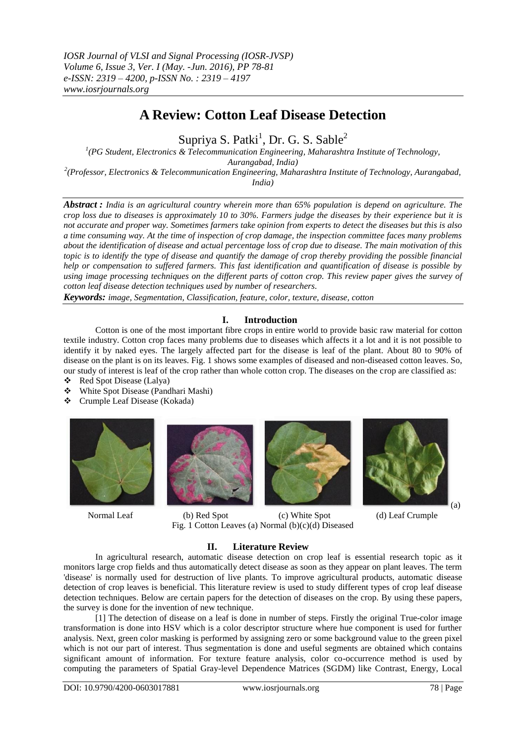## **A Review: Cotton Leaf Disease Detection**

Supriya S. Patki<sup>1</sup>, Dr. G. S. Sable<sup>2</sup>

*1 (PG Student, Electronics & Telecommunication Engineering, Maharashtra Institute of Technology, Aurangabad, India) 2 (Professor, Electronics & Telecommunication Engineering, Maharashtra Institute of Technology, Aurangabad,* 

*India)*

*Abstract : India is an agricultural country wherein more than 65% population is depend on agriculture. The crop loss due to diseases is approximately 10 to 30%. Farmers judge the diseases by their experience but it is not accurate and proper way. Sometimes farmers take opinion from experts to detect the diseases but this is also a time consuming way. At the time of inspection of crop damage, the inspection committee faces many problems about the identification of disease and actual percentage loss of crop due to disease. The main motivation of this topic is to identify the type of disease and quantify the damage of crop thereby providing the possible financial help or compensation to suffered farmers. This fast identification and quantification of disease is possible by using image processing techniques on the different parts of cotton crop. This review paper gives the survey of cotton leaf disease detection techniques used by number of researchers.*

*Keywords: image, Segmentation, Classification, feature, color, texture, disease, cotton*

### **I. Introduction**

Cotton is one of the most important fibre crops in entire world to provide basic raw material for cotton textile industry. Cotton crop faces many problems due to diseases which affects it a lot and it is not possible to identify it by naked eyes. The largely affected part for the disease is leaf of the plant. About 80 to 90% of disease on the plant is on its leaves. Fig. 1 shows some examples of diseased and non-diseased cotton leaves. So, our study of interest is leaf of the crop rather than whole cotton crop. The diseases on the crop are classified as:

- ❖ Red Spot Disease (Lalya)<br>❖ White Spot Disease (Pand
- White Spot Disease (Pandhari Mashi)
- Crumple Leaf Disease (Kokada)









Normal Leaf (b) Red Spot (c) White Spot (d) Leaf Crumple Fig. 1 Cotton Leaves (a) Normal (b)(c)(d) Diseased

# **II. Literature Review**

In agricultural research, automatic disease detection on crop leaf is essential research topic as it monitors large crop fields and thus automatically detect disease as soon as they appear on plant leaves. The term 'disease' is normally used for destruction of live plants. To improve agricultural products, automatic disease detection of crop leaves is beneficial. This literature review is used to study different types of crop leaf disease detection techniques. Below are certain papers for the detection of diseases on the crop. By using these papers, the survey is done for the invention of new technique.

[1] The detection of disease on a leaf is done in number of steps. Firstly the original True-color image transformation is done into HSV which is a color descriptor structure where hue component is used for further analysis. Next, green color masking is performed by assigning zero or some background value to the green pixel which is not our part of interest. Thus segmentation is done and useful segments are obtained which contains significant amount of information. For texture feature analysis, color co-occurrence method is used by computing the parameters of Spatial Gray-level Dependence Matrices (SGDM) like Contrast, Energy, Local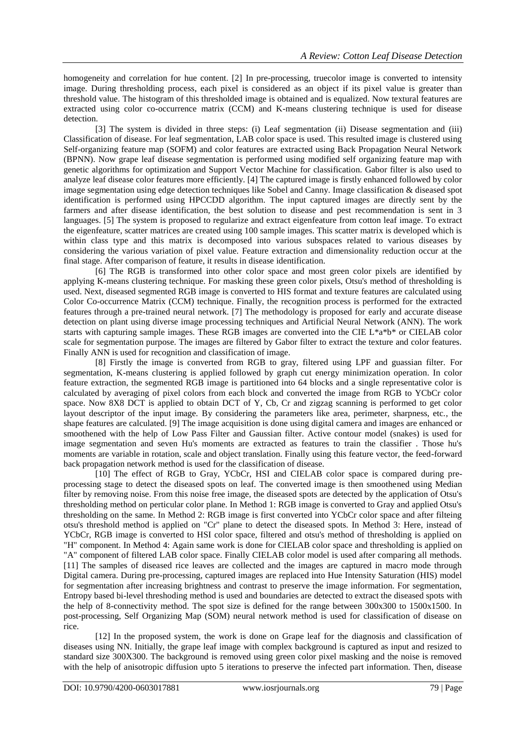homogeneity and correlation for hue content. [2] In pre-processing, truecolor image is converted to intensity image. During thresholding process, each pixel is considered as an object if its pixel value is greater than threshold value. The histogram of this thresholded image is obtained and is equalized. Now textural features are extracted using color co-occurrence matrix (CCM) and K-means clustering technique is used for disease detection.

[3] The system is divided in three steps: (i) Leaf segmentation (ii) Disease segmentation and (iii) Classification of disease. For leaf segmentation, LAB color space is used. This resulted image is clustered using Self-organizing feature map (SOFM) and color features are extracted using Back Propagation Neural Network (BPNN). Now grape leaf disease segmentation is performed using modified self organizing feature map with genetic algorithms for optimization and Support Vector Machine for classification. Gabor filter is also used to analyze leaf disease color features more efficiently. [4] The captured image is firstly enhanced followed by color image segmentation using edge detection techniques like Sobel and Canny. Image classification & diseased spot identification is performed using HPCCDD algorithm. The input captured images are directly sent by the farmers and after disease identification, the best solution to disease and pest recommendation is sent in 3 languages. [5] The system is proposed to regularize and extract eigenfeature from cotton leaf image. To extract the eigenfeature, scatter matrices are created using 100 sample images. This scatter matrix is developed which is within class type and this matrix is decomposed into various subspaces related to various diseases by considering the various variation of pixel value. Feature extraction and dimensionality reduction occur at the final stage. After comparison of feature, it results in disease identification.

[6] The RGB is transformed into other color space and most green color pixels are identified by applying K-means clustering technique. For masking these green color pixels, Otsu's method of thresholding is used. Next, diseased segmented RGB image is converted to HIS format and texture features are calculated using Color Co-occurrence Matrix (CCM) technique. Finally, the recognition process is performed for the extracted features through a pre-trained neural network. [7] The methodology is proposed for early and accurate disease detection on plant using diverse image processing techniques and Artificial Neural Network (ANN). The work starts with capturing sample images. These RGB images are converted into the CIE L\*a\*b\* or CIELAB color scale for segmentation purpose. The images are filtered by Gabor filter to extract the texture and color features. Finally ANN is used for recognition and classification of image.

[8] Firstly the image is converted from RGB to gray, filtered using LPF and guassian filter. For segmentation, K-means clustering is applied followed by graph cut energy minimization operation. In color feature extraction, the segmented RGB image is partitioned into 64 blocks and a single representative color is calculated by averaging of pixel colors from each block and converted the image from RGB to YCbCr color space. Now 8X8 DCT is applied to obtain DCT of Y, Cb, Cr and zigzag scanning is performed to get color layout descriptor of the input image. By considering the parameters like area, perimeter, sharpness, etc., the shape features are calculated. [9] The image acquisition is done using digital camera and images are enhanced or smoothened with the help of Low Pass Filter and Gaussian filter. Active contour model (snakes) is used for image segmentation and seven Hu's moments are extracted as features to train the classifier . Those hu's moments are variable in rotation, scale and object translation. Finally using this feature vector, the feed-forward back propagation network method is used for the classification of disease.

[10] The effect of RGB to Gray, YCbCr, HSI and CIELAB color space is compared during preprocessing stage to detect the diseased spots on leaf. The converted image is then smoothened using Median filter by removing noise. From this noise free image, the diseased spots are detected by the application of Otsu's thresholding method on perticular color plane. In Method 1: RGB image is converted to Gray and applied Otsu's thresholding on the same. In Method 2: RGB image is first converted into YCbCr color space and after filteing otsu's threshold method is applied on "Cr" plane to detect the diseased spots. In Method 3: Here, instead of YCbCr, RGB image is converted to HSI color space, filtered and otsu's method of thresholding is applied on "H" component. In Method 4: Again same work is done for CIELAB color space and thresholding is applied on "A" component of filtered LAB color space. Finally CIELAB color model is used after comparing all methods. [11] The samples of diseased rice leaves are collected and the images are captured in macro mode through Digital camera. During pre-processing, captured images are replaced into Hue Intensity Saturation (HIS) model for segmentation after increasing brightness and contrast to preserve the image information. For segmentation, Entropy based bi-level threshoding method is used and boundaries are detected to extract the diseased spots with the help of 8-connectivity method. The spot size is defined for the range between 300x300 to 1500x1500. In post-processing, Self Organizing Map (SOM) neural network method is used for classification of disease on rice.

[12] In the proposed system, the work is done on Grape leaf for the diagnosis and classification of diseases using NN. Initially, the grape leaf image with complex background is captured as input and resized to standard size 300X300. The background is removed using green color pixel masking and the noise is removed with the help of anisotropic diffusion upto 5 iterations to preserve the infected part information. Then, disease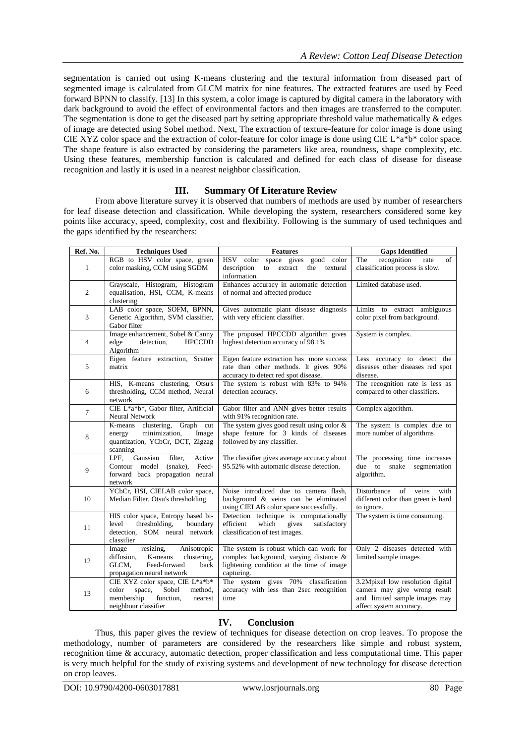segmentation is carried out using K-means clustering and the textural information from diseased part of segmented image is calculated from GLCM matrix for nine features. The extracted features are used by Feed forward BPNN to classify. [13] In this system, a color image is captured by digital camera in the laboratory with dark background to avoid the effect of environmental factors and then images are transferred to the computer. The segmentation is done to get the diseased part by setting appropriate threshold value mathematically & edges of image are detected using Sobel method. Next, The extraction of texture-feature for color image is done using CIE XYZ color space and the extraction of color-feature for color image is done using CIE L\*a\*b\* color space. The shape feature is also extracted by considering the parameters like area, roundness, shape complexity, etc. Using these features, membership function is calculated and defined for each class of disease for disease recognition and lastly it is used in a nearest neighbor classification.

#### **III. Summary Of Literature Review**

From above literature survey it is observed that numbers of methods are used by number of researchers for leaf disease detection and classification. While developing the system, researchers considered some key points like accuracy, speed, complexity, cost and flexibility. Following is the summary of used techniques and the gaps identified by the researchers:

| Ref. No.       | <b>Techniques Used</b>                                                                                                                   | <b>Features</b>                                                                                                                              | <b>Gaps Identified</b>                                                                                                       |
|----------------|------------------------------------------------------------------------------------------------------------------------------------------|----------------------------------------------------------------------------------------------------------------------------------------------|------------------------------------------------------------------------------------------------------------------------------|
| $\mathbf{1}$   | RGB to HSV color space, green<br>color masking, CCM using SGDM                                                                           | HSV color space gives<br>good color<br>description<br>textural<br>to<br>extract<br>the<br>information.                                       | recognition<br>The<br>of<br>rate<br>classification process is slow.                                                          |
| $\mathfrak{2}$ | Grayscale, Histogram, Histogram<br>equalisation, HSI, CCM, K-means<br>clustering                                                         | Enhances accuracy in automatic detection<br>of normal and affected produce                                                                   | Limited database used.                                                                                                       |
| 3              | LAB color space, SOFM, BPNN,<br>Genetic Algorithm, SVM classifier,<br>Gabor filter                                                       | Gives automatic plant disease diagnosis<br>with very efficient classifier.                                                                   | Limits to extract ambiguous<br>color pixel from background.                                                                  |
| $\overline{4}$ | Image enhancement, Sobel & Canny<br>detection.<br>edge<br><b>HPCCDD</b><br>Algorithm                                                     | The proposed HPCCDD algorithm gives<br>highest detection accuracy of 98.1%                                                                   | System is complex.                                                                                                           |
| 5              | Eigen feature extraction, Scatter<br>matrix                                                                                              | Eigen feature extraction has more success<br>rate than other methods. It gives 90%<br>accuracy to detect red spot disease.                   | Less accuracy to detect the<br>diseases other diseases red spot<br>disease.                                                  |
| 6              | HIS, K-means clustering, Otsu's<br>thresholding, CCM method, Neural<br>network                                                           | The system is robust with 83% to 94%<br>detection accuracy.                                                                                  | The recognition rate is less as<br>compared to other classifiers.                                                            |
| $\overline{7}$ | CIE L*a*b*, Gabor filter, Artificial<br>Neural Network                                                                                   | Gabor filter and ANN gives better results<br>with 91% recognition rate.                                                                      | Complex algorithm.                                                                                                           |
| 8              | K-means clustering,<br>Graph cut<br>minimization,<br>Image<br>energy<br>quantization, YCbCr, DCT, Zigzag<br>scanning                     | The system gives good result using color $\&$<br>shape feature for 3 kinds of diseases<br>followed by any classifier.                        | The system is complex due to<br>more number of algorithms                                                                    |
| 9              | LPF.<br>Gaussian<br>filter,<br>Active<br>$(snake)$ ,<br>Feed-<br>Contour model<br>forward back propagation neural<br>network             | The classifier gives average accuracy about<br>95.52% with automatic disease detection.                                                      | The processing time increases<br>due to snake<br>segmentation<br>algorithm.                                                  |
| 10             | YCbCr, HSI, CIELAB color space,<br>Median Filter, Otsu's thresholding                                                                    | Noise introduced due to camera flash,<br>background & veins can be eliminated<br>using CIELAB color space successfully.                      | of<br>veins<br>Disturbance<br>with<br>different color than green is hard<br>to ignore.                                       |
| 11             | HIS color space, Entropy based bi-<br>level<br>thresholding,<br>boundary<br>detection, SOM neural network<br>classifier                  | Detection technique is computationally<br>efficient<br>which<br>gives<br>satisfactory<br>classification of test images.                      | The system is time consuming.                                                                                                |
| 12             | Image<br>resizing,<br>Anisotropic<br>diffusion.<br>K-means<br>clustering.<br>GLCM,<br>Feed-forward<br>back<br>propagation neural network | The system is robust which can work for<br>complex background, varying distance &<br>lightening condition at the time of image<br>capturing. | Only 2 diseases detected with<br>limited sample images                                                                       |
| 13             | CIE XYZ color space, CIE L*a*b*<br>Sobel<br>color<br>space,<br>method,<br>function,<br>membership<br>nearest<br>neighbour classifier     | The system gives 70% classification<br>accuracy with less than 2sec recognition<br>time                                                      | 3.2Mpixel low resolution digital<br>camera may give wrong result<br>and limited sample images may<br>affect system accuracy. |

#### **IV. Conclusion**

Thus, this paper gives the review of techniques for disease detection on crop leaves. To propose the methodology, number of parameters are considered by the researchers like simple and robust system, recognition time & accuracy, automatic detection, proper classification and less computational time. This paper is very much helpful for the study of existing systems and development of new technology for disease detection on crop leaves.